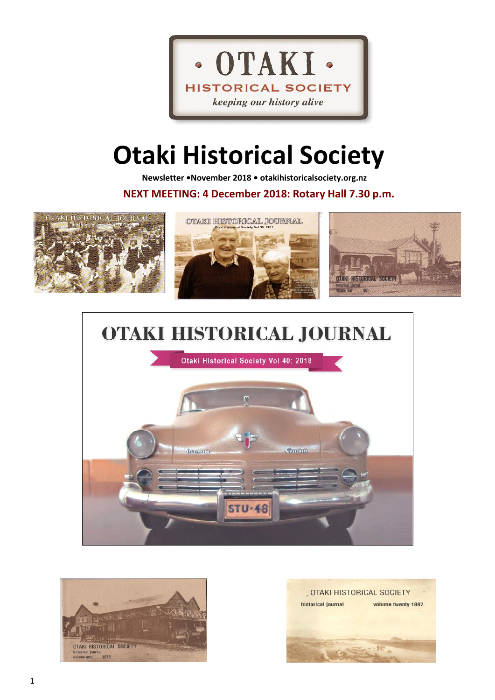

# **Otaki Historical Society**

 **Newsletter •November 2018 • otakihistoricalsociety.org.nz**

**NEXT MEETING: 4 December 2018: Rotary Hall 7.30 p.m.**



# **OTAKI HISTORICAL JOURNAL**





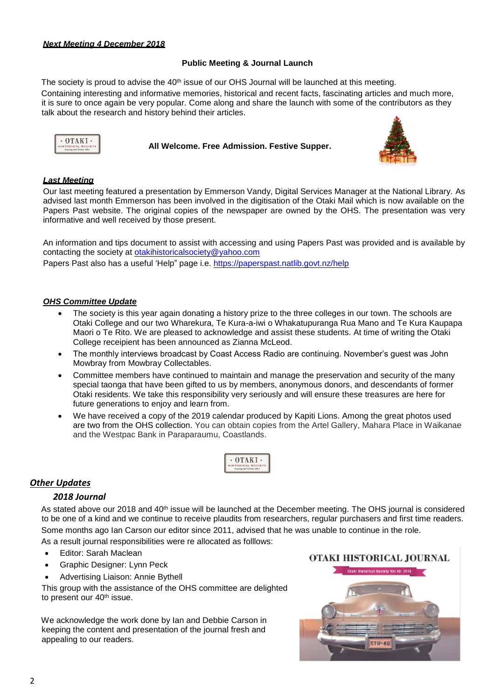#### *Next Meeting 4 December 2018*

## **Public Meeting & Journal Launch**

The society is proud to advise the 40<sup>th</sup> issue of our OHS Journal will be launched at this meeting. Containing interesting and informative memories, historical and recent facts, fascinating articles and much more, it is sure to once again be very popular. Come along and share the launch with some of the contributors as they talk about the research and history behind their articles.



**All Welcome. Free Admission. Festive Supper.**



#### *Last Meeting*

Our last meeting featured a presentation by Emmerson Vandy, Digital Services Manager at the National Library. As advised last month Emmerson has been involved in the digitisation of the Otaki Mail which is now available on the Papers Past website. The original copies of the newspaper are owned by the OHS. The presentation was very informative and well received by those present.

An information and tips document to assist with accessing and using Papers Past was provided and is available by contacting the society at [otakihistoricalsociety@yahoo.com](mailto:otakihistoricalsociety@yahoo.com) Papers Past also has a useful 'Help" page i.e.<https://paperspast.natlib.govt.nz/help>

#### *OHS Committee Update*

- The society is this year again donating a history prize to the three colleges in our town. The schools are Otaki College and our two Wharekura, Te Kura-a-iwi o Whakatupuranga Rua Mano and Te Kura Kaupapa Maori o Te Rito. We are pleased to acknowledge and assist these students. At time of writing the Otaki College receipient has been announced as Zianna McLeod.
- The monthly interviews broadcast by Coast Access Radio are continuing. November's guest was John Mowbray from Mowbray Collectables.
- Committee members have continued to maintain and manage the preservation and security of the many special taonga that have been gifted to us by members, anonymous donors, and descendants of former Otaki residents. We take this responsibility very seriously and will ensure these treasures are here for future generations to enjoy and learn from.
- We have received a copy of the 2019 calendar produced by Kapiti Lions. Among the great photos used are two from the OHS collection. You can obtain copies from the Artel Gallery, Mahara Place in Waikanae and the Westpac Bank in Paraparaumu, Coastlands.



# *Other Updates*

#### *2018 Journal*

As stated above our 2018 and 40<sup>th</sup> issue will be launched at the December meeting. The OHS journal is considered to be one of a kind and we continue to receive plaudits from researchers, regular purchasers and first time readers. Some months ago Ian Carson our editor since 2011, advised that he was unable to continue in the role.

As a result journal responsibilities were re allocated as folllows:

- Editor: Sarah Maclean
- Graphic Designer: Lynn Peck
- Advertising Liaison: Annie Bythell

This group with the assistance of the OHS committee are delighted to present our 40<sup>th</sup> issue.

 We acknowledge the work done by Ian and Debbie Carson in keeping the content and presentation of the journal fresh and appealing to our readers.

#### OTAKI HISTORICAL JOURNAL

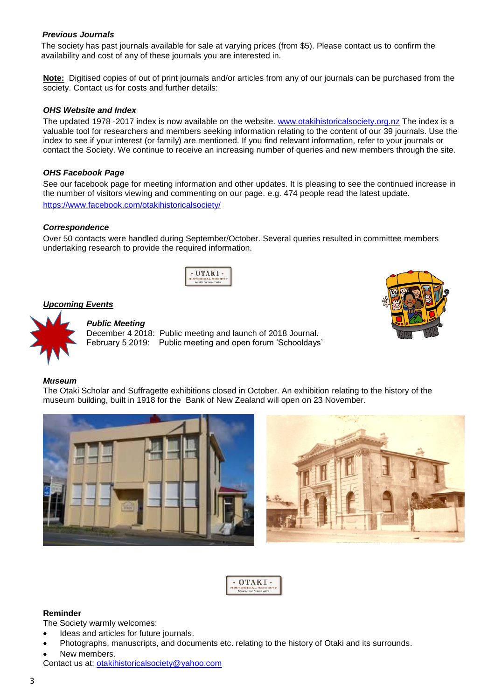#### *Previous Journals*

The society has past journals available for sale at varying prices (from \$5). Please contact us to confirm the availability and cost of any of these journals you are interested in.

**Note:** Digitised copies of out of print journals and/or articles from any of our journals can be purchased from the society. Contact us for costs and further details:

#### *OHS Website and Index*

The updated 1978 -2017 index is now available on the website. [www.otakihistoricalsociety.org.nz](http://www.otakihistoricalsociety.org.nz/) The index is a valuable tool for researchers and members seeking information relating to the content of our 39 journals. Use the index to see if your interest (or family) are mentioned. If you find relevant information, refer to your journals or contact the Society. We continue to receive an increasing number of queries and new members through the site.

#### *OHS Facebook Page*

See our facebook page for meeting information and other updates. It is pleasing to see the continued increase in the number of visitors viewing and commenting on our page. e.g. 474 people read the latest update. <https://www.facebook.com/otakihistoricalsociety/>

#### *Correspondence*

Over 50 contacts were handled during September/October. Several queries resulted in committee members undertaking research to provide the required information.



#### *Upcoming Events*



#### *Public Meeting*

December 4 2018: Public meeting and launch of 2018 Journal. February 5 2019: Public meeting and open forum 'Schooldays'



#### *Museum*

The Otaki Scholar and Suffragette exhibitions closed in October. An exhibition relating to the history of the museum building, built in 1918 for the Bank of New Zealand will open on 23 November.





#### **Reminder**

The Society warmly welcomes:

- Ideas and articles for future journals.
- Photographs, manuscripts, and documents etc. relating to the history of Otaki and its surrounds.
- New members.

Contact us at: [otakihistoricalsociety@yahoo.com](mailto:otakihistoricalsociety@yahoo.com)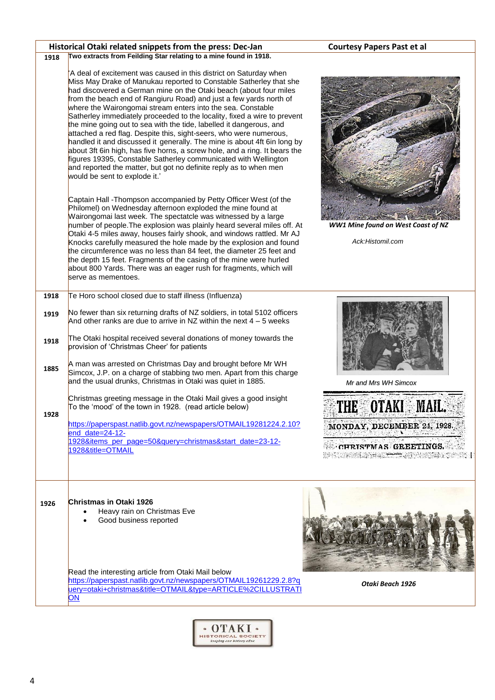|              | Historical Otaki related snippets from the press: Dec-Jan                                                                                                                                                                                                                                                                                                                                                                                                                                                                                                                                                                                                                                                                                                                                                                                                                                                      | <b>Courtesy Papers Past et al</b>                                                                                                                                   |  |
|--------------|----------------------------------------------------------------------------------------------------------------------------------------------------------------------------------------------------------------------------------------------------------------------------------------------------------------------------------------------------------------------------------------------------------------------------------------------------------------------------------------------------------------------------------------------------------------------------------------------------------------------------------------------------------------------------------------------------------------------------------------------------------------------------------------------------------------------------------------------------------------------------------------------------------------|---------------------------------------------------------------------------------------------------------------------------------------------------------------------|--|
| 1918         | Two extracts from Feilding Star relating to a mine found in 1918.                                                                                                                                                                                                                                                                                                                                                                                                                                                                                                                                                                                                                                                                                                                                                                                                                                              |                                                                                                                                                                     |  |
|              | 'A deal of excitement was caused in this district on Saturday when<br>Miss May Drake of Manukau reported to Constable Satherley that she<br>had discovered a German mine on the Otaki beach (about four miles<br>from the beach end of Rangiuru Road) and just a few yards north of<br>where the Wairongomai stream enters into the sea. Constable<br>Satherley immediately proceeded to the locality, fixed a wire to prevent<br>the mine going out to sea with the tide, labelled it dangerous, and<br>attached a red flag. Despite this, sight-seers, who were numerous,<br>handled it and discussed it generally. The mine is about 4ft 6in long by<br>about 3ft 6in high, has five horns, a screw hole, and a ring. It bears the<br>figures 19395, Constable Satherley communicated with Wellington<br>and reported the matter, but got no definite reply as to when men<br>would be sent to explode it.' |                                                                                                                                                                     |  |
|              | Captain Hall - Thompson accompanied by Petty Officer West (of the<br>Philomel) on Wednesday afternoon exploded the mine found at<br>Wairongomai last week. The spectatcle was witnessed by a large<br>number of people. The explosion was plainly heard several miles off. At<br>Otaki 4-5 miles away, houses fairly shook, and windows rattled. Mr AJ<br>Knocks carefully measured the hole made by the explosion and found<br>the circumference was no less than 84 feet, the diameter 25 feet and<br>the depth 15 feet. Fragments of the casing of the mine were hurled<br>about 800 Yards. There was an eager rush for fragments, which will<br>serve as mementoes.                                                                                                                                                                                                                                        | <b>WW1 Mine found on West Coast of NZ</b><br>Ack:Histomil.com                                                                                                       |  |
| 1918         | Te Horo school closed due to staff illness (Influenza)                                                                                                                                                                                                                                                                                                                                                                                                                                                                                                                                                                                                                                                                                                                                                                                                                                                         |                                                                                                                                                                     |  |
| 1919<br>1918 | No fewer than six returning drafts of NZ soldiers, in total 5102 officers<br>And other ranks are due to arrive in NZ within the next $4 - 5$ weeks<br>The Otaki hospital received several donations of money towards the                                                                                                                                                                                                                                                                                                                                                                                                                                                                                                                                                                                                                                                                                       | Mr and Mrs WH Simcox                                                                                                                                                |  |
| 1885         | provision of 'Christmas Cheer' for patients<br>A man was arrested on Christmas Day and brought before Mr WH<br>Simcox, J.P. on a charge of stabbing two men. Apart from this charge<br>and the usual drunks, Christmas in Otaki was quiet in 1885.                                                                                                                                                                                                                                                                                                                                                                                                                                                                                                                                                                                                                                                             |                                                                                                                                                                     |  |
| 1928         | Christmas greeting message in the Otaki Mail gives a good insight<br>To the 'mood' of the town in 1928. (read article below)<br>https://paperspast.natlib.govt.nz/newspapers/OTMAIL19281224.2.10?<br>end_date=24-12-<br>1928&items_per_page=50&query=christmas&start_date=23-12-<br>1928&title=OTMAIL                                                                                                                                                                                                                                                                                                                                                                                                                                                                                                                                                                                                          | THE OTAKI MAIL.<br>MONDAY, DECEMBER 24, 1928.<br><u> నటు ఇక పూజక జండ్య</u> 11 వరం చేసిన<br><b>CHRISTMAS GREETINGS.</b><br><b>AP SOUND AND ALL THE UNITED STATES</b> |  |
| 1926         | Christmas in Otaki 1926<br>Heavy rain on Christmas Eve<br>$\bullet$<br>Good business reported                                                                                                                                                                                                                                                                                                                                                                                                                                                                                                                                                                                                                                                                                                                                                                                                                  |                                                                                                                                                                     |  |
|              | Read the interesting article from Otaki Mail below<br>https://paperspast.natlib.govt.nz/newspapers/OTMAIL19261229.2.8?g<br>uery=otaki+christmas&title=OTMAIL&type=ARTICLE%2CILLUSTRATI<br>ON                                                                                                                                                                                                                                                                                                                                                                                                                                                                                                                                                                                                                                                                                                                   | Otaki Beach 1926                                                                                                                                                    |  |